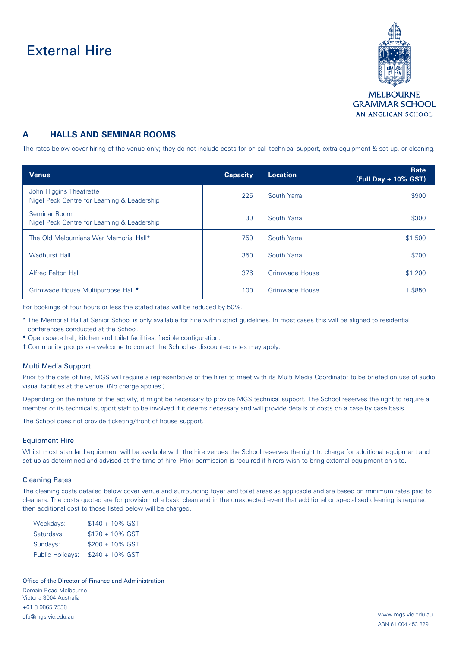# External Hire



## **A HALLS AND SEMINAR ROOMS**

The rates below cover hiring of the venue only; they do not include costs for on-call technical support, extra equipment & set up, or cleaning.

| <b>Venue</b>                                                           | <b>Capacity</b> | <b>Location</b> | Rate<br>(Full Day + 10% GST) |
|------------------------------------------------------------------------|-----------------|-----------------|------------------------------|
| John Higgins Theatrette<br>Nigel Peck Centre for Learning & Leadership | 225             | South Yarra     | \$900                        |
| Seminar Room<br>Nigel Peck Centre for Learning & Leadership            | 30              | South Yarra     | \$300                        |
| The Old Melburnians War Memorial Hall*                                 | 750             | South Yarra     | \$1,500                      |
| <b>Wadhurst Hall</b>                                                   | 350             | South Yarra     | \$700                        |
| <b>Alfred Felton Hall</b>                                              | 376             | Grimwade House  | \$1,200                      |
| Grimwade House Multipurpose Hall •                                     | 100             | Grimwade House  | + \$850                      |

For bookings of four hours or less the stated rates will be reduced by 50%.

- \* The Memorial Hall at Senior School is only available for hire within strict guidelines. In most cases this will be aligned to residential conferences conducted at the School.
- Open space hall, kitchen and toilet facilities, flexible configuration.
- † Community groups are welcome to contact the School as discounted rates may apply.

#### Multi Media Support

Prior to the date of hire, MGS will require a representative of the hirer to meet with its Multi Media Coordinator to be briefed on use of audio visual facilities at the venue. (No charge applies.)

Depending on the nature of the activity, it might be necessary to provide MGS technical support. The School reserves the right to require a member of its technical support staff to be involved if it deems necessary and will provide details of costs on a case by case basis.

The School does not provide ticketing/front of house support.

#### Equipment Hire

Whilst most standard equipment will be available with the hire venues the School reserves the right to charge for additional equipment and set up as determined and advised at the time of hire. Prior permission is required if hirers wish to bring external equipment on site.

### Cleaning Rates

The cleaning costs detailed below cover venue and surrounding foyer and toilet areas as applicable and are based on minimum rates paid to cleaners. The costs quoted are for provision of a basic clean and in the unexpected event that additional or specialised cleaning is required then additional cost to those listed below will be charged.

| Weekdays:               | $$140 + 10\%$ GST |
|-------------------------|-------------------|
| Saturdays:              | $$170 + 10\%$ GST |
| Sundays:                | $$200 + 10\%$ GST |
| <b>Public Holidays:</b> | $$240 + 10\%$ GST |

Office of the Director of Finance and Administration Domain Road Melbourne Victoria 3004 Australia +61 3 9865 7538 dfa@mgs.vic.edu.au www.mgs.vic.edu.au